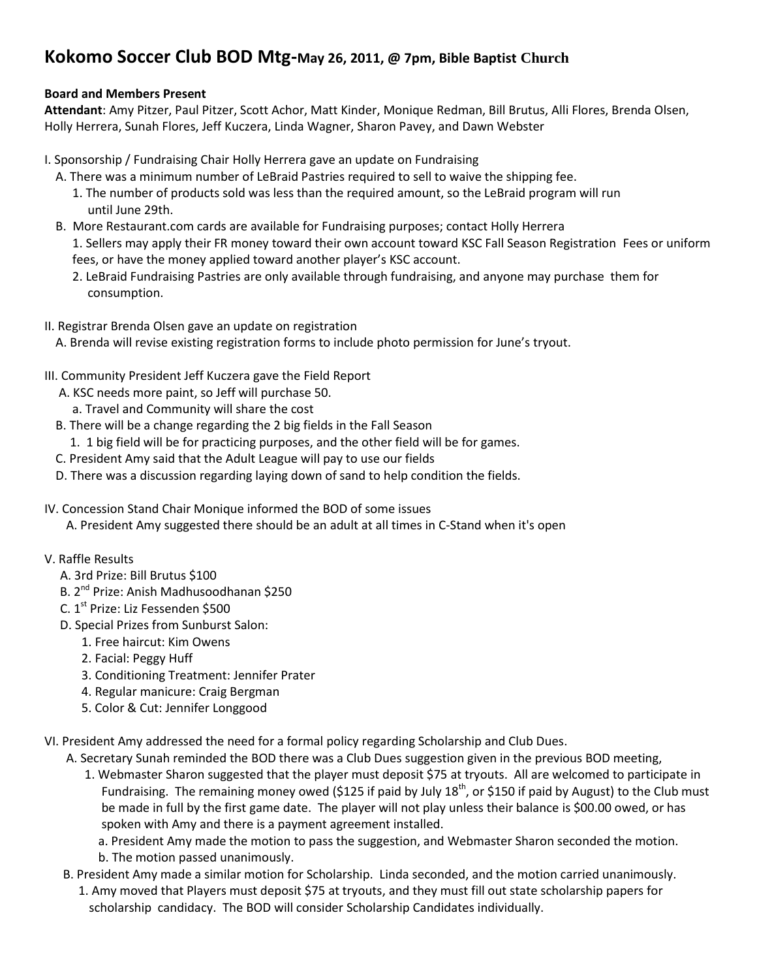## **Kokomo Soccer Club BOD Mtg-May 26, 2011, @ 7pm, Bible Baptist Church**

## **Board and Members Present**

**Attendant**: Amy Pitzer, Paul Pitzer, Scott Achor, Matt Kinder, Monique Redman, Bill Brutus, Alli Flores, Brenda Olsen, Holly Herrera, Sunah Flores, Jeff Kuczera, Linda Wagner, Sharon Pavey, and Dawn Webster

- I. Sponsorship / Fundraising Chair Holly Herrera gave an update on Fundraising
	- A. There was a minimum number of LeBraid Pastries required to sell to waive the shipping fee.
		- 1. The number of products sold was less than the required amount, so the LeBraid program will run until June 29th.
	- B. More Restaurant.com cards are available for Fundraising purposes; contact Holly Herrera 1. Sellers may apply their FR money toward their own account toward KSC Fall Season Registration Fees or uniform fees, or have the money applied toward another player's KSC account.
		- 2. LeBraid Fundraising Pastries are only available through fundraising, and anyone may purchase them for consumption.
- II. Registrar Brenda Olsen gave an update on registration
	- A. Brenda will revise existing registration forms to include photo permission for June's tryout.
- III. Community President Jeff Kuczera gave the Field Report
	- A. KSC needs more paint, so Jeff will purchase 50.
		- a. Travel and Community will share the cost
	- B. There will be a change regarding the 2 big fields in the Fall Season
	- 1. 1 big field will be for practicing purposes, and the other field will be for games.
	- C. President Amy said that the Adult League will pay to use our fields
	- D. There was a discussion regarding laying down of sand to help condition the fields.
- IV. Concession Stand Chair Monique informed the BOD of some issues
	- A. President Amy suggested there should be an adult at all times in C-Stand when it's open
- V. Raffle Results
	- A. 3rd Prize: Bill Brutus \$100
- B. 2<sup>nd</sup> Prize: Anish Madhusoodhanan \$250
- C. 1<sup>st</sup> Prize: Liz Fessenden \$500
	- D. Special Prizes from Sunburst Salon:
		- 1. Free haircut: Kim Owens
		- 2. Facial: Peggy Huff
		- 3. Conditioning Treatment: Jennifer Prater
		- 4. Regular manicure: Craig Bergman
		- 5. Color & Cut: Jennifer Longgood
- VI. President Amy addressed the need for a formal policy regarding Scholarship and Club Dues.
	- A. Secretary Sunah reminded the BOD there was a Club Dues suggestion given in the previous BOD meeting,
		- 1. Webmaster Sharon suggested that the player must deposit \$75 at tryouts. All are welcomed to participate in Fundraising. The remaining money owed (\$125 if paid by July  $18^{th}$ , or \$150 if paid by August) to the Club must be made in full by the first game date. The player will not play unless their balance is \$00.00 owed, or has spoken with Amy and there is a payment agreement installed.

 a. President Amy made the motion to pass the suggestion, and Webmaster Sharon seconded the motion. b. The motion passed unanimously.

 B. President Amy made a similar motion for Scholarship. Linda seconded, and the motion carried unanimously. 1. Amy moved that Players must deposit \$75 at tryouts, and they must fill out state scholarship papers for scholarship candidacy. The BOD will consider Scholarship Candidates individually.